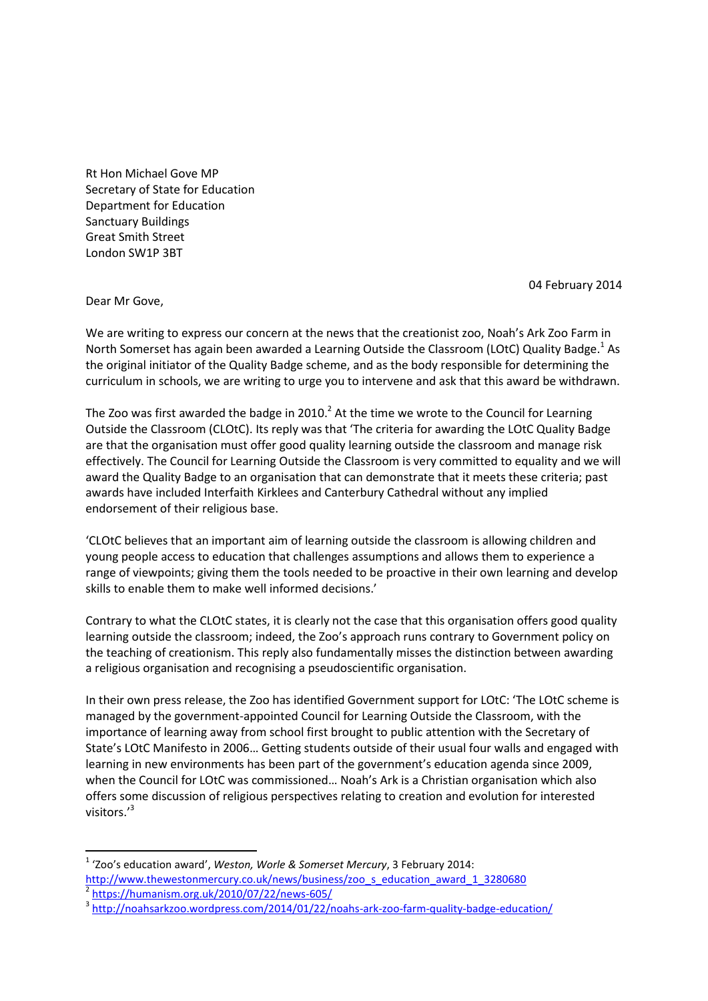Rt Hon Michael Gove MP Secretary of State for Education Department for Education Sanctuary Buildings Great Smith Street London SW1P 3BT

04 February 2014

Dear Mr Gove,

**.** 

We are writing to express our concern at the news that the creationist zoo, Noah's Ark Zoo Farm in North Somerset has again been awarded a Learning Outside the Classroom (LOtC) Quality Badge.<sup>1</sup> As the original initiator of the Quality Badge scheme, and as the body responsible for determining the curriculum in schools, we are writing to urge you to intervene and ask that this award be withdrawn.

The Zoo was first awarded the badge in 2010.<sup>2</sup> At the time we wrote to the Council for Learning Outside the Classroom (CLOtC). Its reply was that 'The criteria for awarding the LOtC Quality Badge are that the organisation must offer good quality learning outside the classroom and manage risk effectively. The Council for Learning Outside the Classroom is very committed to equality and we will award the Quality Badge to an organisation that can demonstrate that it meets these criteria; past awards have included Interfaith Kirklees and Canterbury Cathedral without any implied endorsement of their religious base.

'CLOtC believes that an important aim of learning outside the classroom is allowing children and young people access to education that challenges assumptions and allows them to experience a range of viewpoints; giving them the tools needed to be proactive in their own learning and develop skills to enable them to make well informed decisions.'

Contrary to what the CLOtC states, it is clearly not the case that this organisation offers good quality learning outside the classroom; indeed, the Zoo's approach runs contrary to Government policy on the teaching of creationism. This reply also fundamentally misses the distinction between awarding a religious organisation and recognising a pseudoscientific organisation.

In their own press release, the Zoo has identified Government support for LOtC: 'The LOtC scheme is managed by the government-appointed Council for Learning Outside the Classroom, with the importance of learning away from school first brought to public attention with the Secretary of State's LOtC Manifesto in 2006… Getting students outside of their usual four walls and engaged with learning in new environments has been part of the government's education agenda since 2009, when the Council for LOtC was commissioned… Noah's Ark is a Christian organisation which also offers some discussion of religious perspectives relating to creation and evolution for interested visitors.' 3

<sup>1</sup> 'Zoo's education award', *Weston, Worle & Somerset Mercury*, 3 February 2014: [http://www.thewestonmercury.co.uk/news/business/zoo\\_s\\_education\\_award\\_1\\_3280680](http://www.thewestonmercury.co.uk/news/business/zoo_s_education_award_1_3280680) 2 <https://humanism.org.uk/2010/07/22/news-605/>

<sup>&</sup>lt;sup>3</sup> <http://noahsarkzoo.wordpress.com/2014/01/22/noahs-ark-zoo-farm-quality-badge-education/>